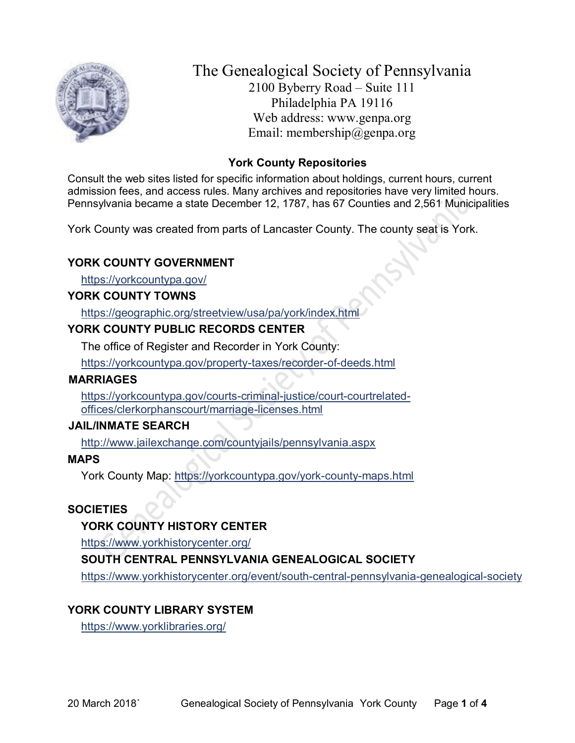

The Genealogical Society of Pennsylvania 2100 Byberry Road – Suite 111 Philadelphia PA 19116 Web address: www.genpa.org Email: membership@genpa.org

# **York County Repositories**

Consult the web sites listed for specific information about holdings, current hours, current admission fees, and access rules. Many archives and repositories have very limited hours. Pennsylvania became a state December 12, 1787, has 67 Counties and 2,561 Municipalities

York County was created from parts of Lancaster County. The county seat is York.

# **YORK COUNTY GOVERNMENT**

<https://yorkcountypa.gov/>

### **YORK COUNTY TOWNS**

<https://geographic.org/streetview/usa/pa/york/index.html>

# **YORK COUNTY PUBLIC RECORDS CENTER**

The office of Register and Recorder in York County:

<https://yorkcountypa.gov/property-taxes/recorder-of-deeds.html>

#### **MARRIAGES**

[https://yorkcountypa.gov/courts-criminal-justice/court-courtrelated](https://yorkcountypa.gov/courts-criminal-justice/court-courtrelated-offices/clerkorphanscourt/marriage-licenses.html)[offices/clerkorphanscourt/marriage-licenses.html](https://yorkcountypa.gov/courts-criminal-justice/court-courtrelated-offices/clerkorphanscourt/marriage-licenses.html)

# **JAIL/INMATE SEARCH**

<http://www.jailexchange.com/countyjails/pennsylvania.aspx>

#### **MAPS**

York County Map:<https://yorkcountypa.gov/york-county-maps.html>

# **SOCIETIES**

# **YORK COUNTY HISTORY CENTER**

<https://www.yorkhistorycenter.org/>

# **SOUTH CENTRAL PENNSYLVANIA GENEALOGICAL SOCIETY**

<https://www.yorkhistorycenter.org/event/south-central-pennsylvania-genealogical-society>

# **YORK COUNTY LIBRARY SYSTEM**

<https://www.yorklibraries.org/>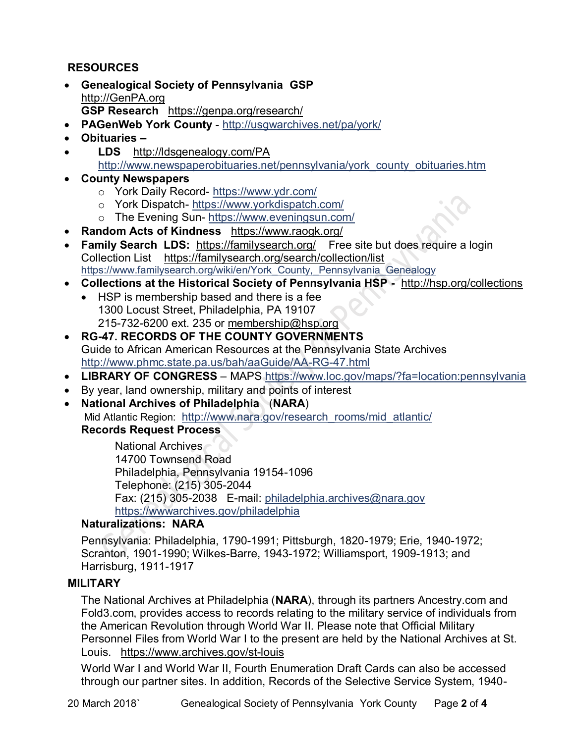# **RESOURCES**

- **Genealogical Society of Pennsylvania GSP** [http://GenPA.org](http://genpa.org/) **GSP Research** <https://genpa.org/research/>
- **PAGenWeb York County** <http://usgwarchives.net/pa/york/>
- **Obituaries –**
- **LDS** <http://ldsgenealogy.com/PA> [http://www.newspaperobituaries.net/pennsylvania/york\\_county\\_obituaries.htm](http://www.newspaperobituaries.net/pennsylvania/york_county_obituaries.htm)
- **County Newspapers** 
	- o York Daily Record- <https://www.ydr.com/>
	- o York Dispatch- <https://www.yorkdispatch.com/>
	- o The Evening Sun- <https://www.eveningsun.com/>
- **Random Acts of Kindness** <https://www.raogk.org/>
- **Family Search LDS:** <https://familysearch.org/>Free site but does require a login Collection List <https://familysearch.org/search/collection/list> https://www.familysearch.org/wiki/en/York\_County, Pennsylvania\_Genealogy
- **Collections at the Historical Society of Pennsylvania HSP -** <http://hsp.org/collections>
	- HSP is membership based and there is a fee 1300 Locust Street, Philadelphia, PA 19107 215-732-6200 ext. 235 or [membership@hsp.org](mailto:membership@hsp.org)
- **RG-47. RECORDS OF THE COUNTY GOVERNMENTS** Guide to African American Resources at the Pennsylvania State Archives <http://www.phmc.state.pa.us/bah/aaGuide/AA-RG-47.html>
- **LIBRARY OF CONGRESS** MAPS<https://www.loc.gov/maps/?fa=location:pennsylvania>
- By year, land ownership, military and points of interest
- **National Archives of Philadelphia** (**NARA**) Mid Atlantic Region: [http://www.nara.gov/research\\_rooms/mid\\_atlantic/](http://www.nara.gov/research_rooms/mid_atlantic/) **Records Request Process**

National Archives 14700 Townsend Road Philadelphia, Pennsylvania 19154-1096 Telephone: (215) 305-2044 Fax: (215) 305-2038 E-mail: [philadelphia.archives@nara.gov](mailto:philadelphia.archives@nara.gov) <https://wwwarchives.gov/philadelphia>

# **Naturalizations: NARA**

Pennsylvania: Philadelphia, 1790-1991; Pittsburgh, 1820-1979; Erie, 1940-1972; Scranton, 1901-1990; Wilkes-Barre, 1943-1972; Williamsport, 1909-1913; and Harrisburg, 1911-1917

#### **MILITARY**

The National Archives at Philadelphia (**NARA**), through its partners Ancestry.com and Fold3.com, provides access to records relating to the military service of individuals from the American Revolution through World War II. Please note that Official Military Personnel Files from World War I to the present are held by the National Archives at St. Louis. <https://www.archives.gov/st-louis>

World War I and World War II, Fourth Enumeration Draft Cards can also be accessed through our partner sites. In addition, Records of the Selective Service System, 1940-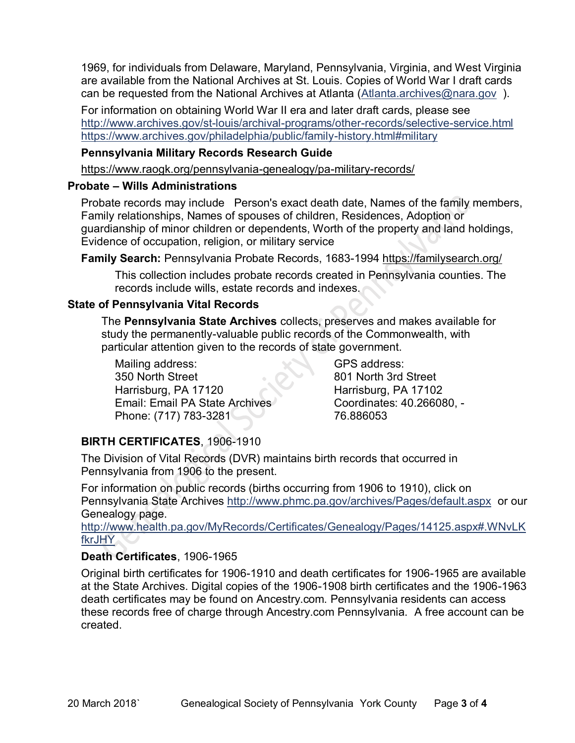1969, for individuals from Delaware, Maryland, Pennsylvania, Virginia, and West Virginia are available from the National Archives at St. Louis. Copies of World War I draft cards can be requested from the National Archives at Atlanta [\(Atlanta.archives@nara.gov](mailto:Atlanta.archives@nara.gov) ).

For information on obtaining World War II era and later draft cards, please see <http://www.archives.gov/st-louis/archival-programs/other-records/selective-service.html> <https://www.archives.gov/philadelphia/public/family-history.html#military>

#### **Pennsylvania Military Records Research Guide**

<https://www.raogk.org/pennsylvania-genealogy/pa-military-records/>

#### **Probate – Wills Administrations**

Probate records may include Person's exact death date, Names of the family members, Family relationships, Names of spouses of children, Residences, Adoption or guardianship of minor children or dependents, Worth of the property and land holdings, Evidence of occupation, religion, or military service

**Family Search:** Pennsylvania Probate Records, 1683-1994 <https://familysearch.org/>

This collection includes probate records created in Pennsylvania counties. The records include wills, estate records and indexes.

### **State of Pennsylvania Vital Records**

The **Pennsylvania State Archives** collects, preserves and makes available for study the permanently-valuable public records of the Commonwealth, with particular attention given to the records of state government.

Mailing address: 350 North Street Harrisburg, PA 17120 Email: Email PA State Archives Phone: (717) 783-3281

GPS address: 801 North 3rd Street Harrisburg, PA 17102 Coordinates: 40.266080, - 76.886053

# **BIRTH CERTIFICATES**, 1906-1910

The Division of Vital Records (DVR) maintains birth records that occurred in Pennsylvania from 1906 to the present.

For information on public records (births occurring from 1906 to 1910), click on Pennsylvania State Archives <http://www.phmc.pa.gov/archives/Pages/default.aspx>or our Genealogy page.

[http://www.health.pa.gov/MyRecords/Certificates/Genealogy/Pages/14125.aspx#.WNvLK](http://www.health.pa.gov/MyRecords/Certificates/Genealogy/Pages/14125.aspx#.WNvLKfkrJHY) [fkrJHY](http://www.health.pa.gov/MyRecords/Certificates/Genealogy/Pages/14125.aspx#.WNvLKfkrJHY)

# **Death Certificates**, 1906-1965

Original birth certificates for 1906-1910 and death certificates for 1906-1965 are available at the State Archives. Digital copies of the 1906-1908 birth certificates and the 1906-1963 death certificates may be found on Ancestry.com. Pennsylvania residents can access these records free of charge through Ancestry.com Pennsylvania. A free account can be created.